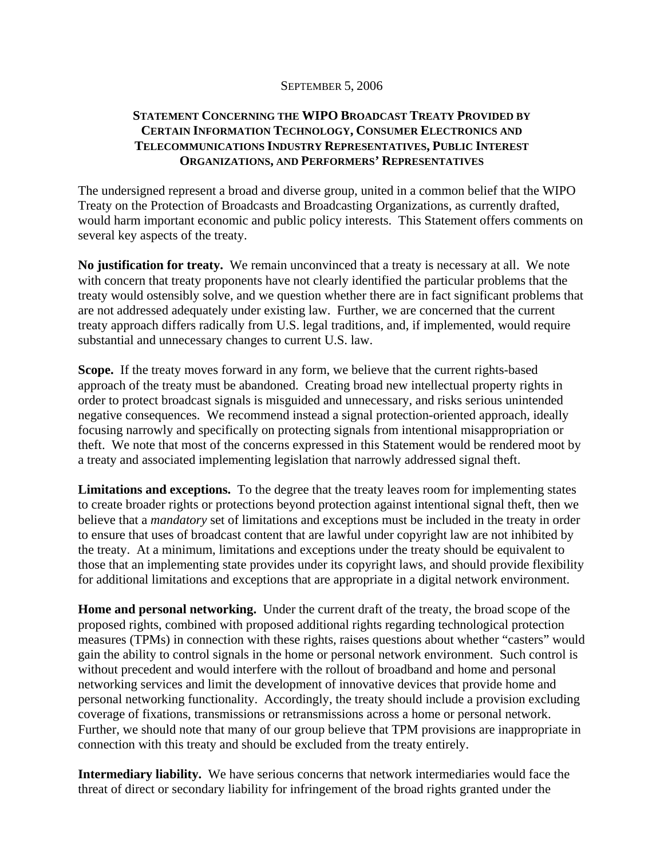## SEPTEMBER 5, 2006

## **STATEMENT CONCERNING THE WIPO BROADCAST TREATY PROVIDED BY CERTAIN INFORMATION TECHNOLOGY, CONSUMER ELECTRONICS AND TELECOMMUNICATIONS INDUSTRY REPRESENTATIVES, PUBLIC INTEREST ORGANIZATIONS, AND PERFORMERS' REPRESENTATIVES**

The undersigned represent a broad and diverse group, united in a common belief that the WIPO Treaty on the Protection of Broadcasts and Broadcasting Organizations, as currently drafted, would harm important economic and public policy interests. This Statement offers comments on several key aspects of the treaty.

**No justification for treaty.** We remain unconvinced that a treaty is necessary at all. We note with concern that treaty proponents have not clearly identified the particular problems that the treaty would ostensibly solve, and we question whether there are in fact significant problems that are not addressed adequately under existing law. Further, we are concerned that the current treaty approach differs radically from U.S. legal traditions, and, if implemented, would require substantial and unnecessary changes to current U.S. law.

**Scope.** If the treaty moves forward in any form, we believe that the current rights-based approach of the treaty must be abandoned. Creating broad new intellectual property rights in order to protect broadcast signals is misguided and unnecessary, and risks serious unintended negative consequences. We recommend instead a signal protection-oriented approach, ideally focusing narrowly and specifically on protecting signals from intentional misappropriation or theft. We note that most of the concerns expressed in this Statement would be rendered moot by a treaty and associated implementing legislation that narrowly addressed signal theft.

**Limitations and exceptions.** To the degree that the treaty leaves room for implementing states to create broader rights or protections beyond protection against intentional signal theft, then we believe that a *mandatory* set of limitations and exceptions must be included in the treaty in order to ensure that uses of broadcast content that are lawful under copyright law are not inhibited by the treaty. At a minimum, limitations and exceptions under the treaty should be equivalent to those that an implementing state provides under its copyright laws, and should provide flexibility for additional limitations and exceptions that are appropriate in a digital network environment.

**Home and personal networking.** Under the current draft of the treaty, the broad scope of the proposed rights, combined with proposed additional rights regarding technological protection measures (TPMs) in connection with these rights, raises questions about whether "casters" would gain the ability to control signals in the home or personal network environment. Such control is without precedent and would interfere with the rollout of broadband and home and personal networking services and limit the development of innovative devices that provide home and personal networking functionality. Accordingly, the treaty should include a provision excluding coverage of fixations, transmissions or retransmissions across a home or personal network. Further, we should note that many of our group believe that TPM provisions are inappropriate in connection with this treaty and should be excluded from the treaty entirely.

**Intermediary liability.** We have serious concerns that network intermediaries would face the threat of direct or secondary liability for infringement of the broad rights granted under the